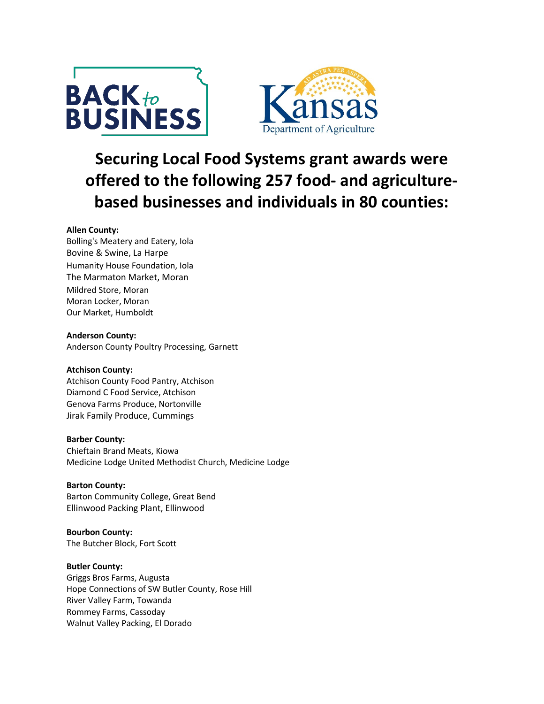



# **Securing Local Food Systems grant awards were offered to the following 257 food- and agriculturebased businesses and individuals in 80 counties:**

# **Allen County:**

Bolling's Meatery and Eatery, Iola Bovine & Swine, La Harpe Humanity House Foundation, Iola The Marmaton Market, Moran Mildred Store, Moran Moran Locker, Moran Our Market, Humboldt

# **Anderson County:**

Anderson County Poultry Processing, Garnett

# **Atchison County:**

Atchison County Food Pantry, Atchison Diamond C Food Service, Atchison Genova Farms Produce, Nortonville Jirak Family Produce, Cummings

# **Barber County:**

Chieftain Brand Meats, Kiowa Medicine Lodge United Methodist Church, Medicine Lodge

# **Barton County:**

Barton Community College, Great Bend Ellinwood Packing Plant, Ellinwood

**Bourbon County:** The Butcher Block, Fort Scott

# **Butler County:**

Griggs Bros Farms, Augusta Hope Connections of SW Butler County, Rose Hill River Valley Farm, Towanda Rommey Farms, Cassoday Walnut Valley Packing, El Dorado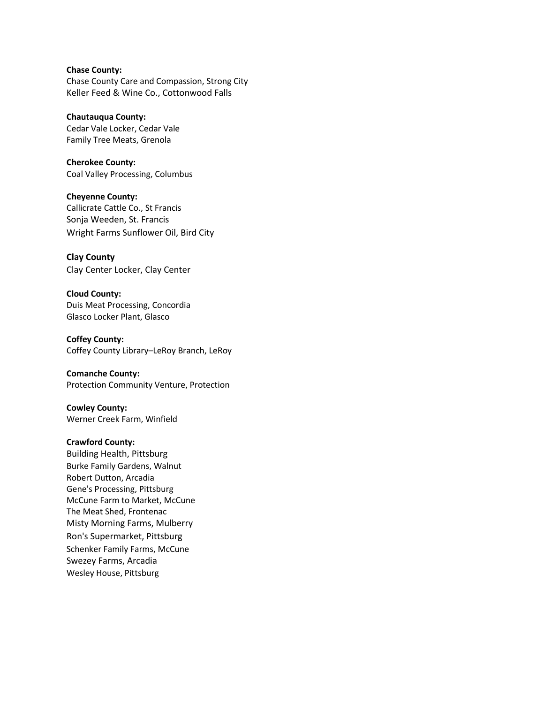# **Chase County:**

Chase County Care and Compassion, Strong City Keller Feed & Wine Co., Cottonwood Falls

**Chautauqua County:** Cedar Vale Locker, Cedar Vale Family Tree Meats, Grenola

**Cherokee County:** Coal Valley Processing, Columbus

**Cheyenne County:** Callicrate Cattle Co., St Francis Sonja Weeden, St. Francis Wright Farms Sunflower Oil, Bird City

**Clay County** Clay Center Locker, Clay Center

**Cloud County:** Duis Meat Processing, Concordia Glasco Locker Plant, Glasco

**Coffey County:** Coffey County Library–LeRoy Branch, LeRoy

**Comanche County:** Protection Community Venture, Protection

**Cowley County:** Werner Creek Farm, Winfield

## **Crawford County:**

Building Health, Pittsburg Burke Family Gardens, Walnut Robert Dutton, Arcadia Gene's Processing, Pittsburg McCune Farm to Market, McCune The Meat Shed, Frontenac Misty Morning Farms, Mulberry Ron's Supermarket, Pittsburg Schenker Family Farms, McCune Swezey Farms, Arcadia Wesley House, Pittsburg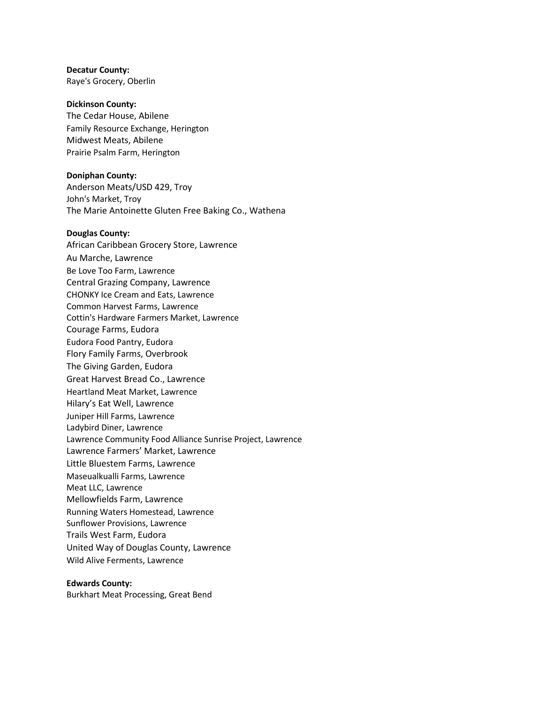**Decatur County:** Raye's Grocery, Oberlin

#### **Dickinson County:**

The Cedar House, Abilene Family Resource Exchange, Herington Midwest Meats, Abilene Prairie Psalm Farm, Herington

## **Doniphan County:**

Anderson Meats/USD 429, Troy John's Market, Troy The Marie Antoinette Gluten Free Baking Co., Wathena

#### **Douglas County:**

African Caribbean Grocery Store, Lawrence Au Marche, Lawrence Be Love Too Farm, Lawrence Central Grazing Company, Lawrence CHONKY Ice Cream and Eats, Lawrence Common Harvest Farms, Lawrence Cottin's Hardware Farmers Market, Lawrence Courage Farms, Eudora Eudora Food Pantry, Eudora Flory Family Farms, Overbrook The Giving Garden, Eudora Great Harvest Bread Co., Lawrence Heartland Meat Market, Lawrence Hilary's Eat Well, Lawrence Juniper Hill Farms, Lawrence Ladybird Diner, Lawrence Lawrence Community Food Alliance Sunrise Project, Lawrence Lawrence Farmers' Market, Lawrence Little Bluestem Farms, Lawrence Maseualkualli Farms, Lawrence Meat LLC, Lawrence Mellowfields Farm, Lawrence Running Waters Homestead, Lawrence Sunflower Provisions, Lawrence Trails West Farm, Eudora United Way of Douglas County, Lawrence Wild Alive Ferments, Lawrence

#### **Edwards County:**

Burkhart Meat Processing, Great Bend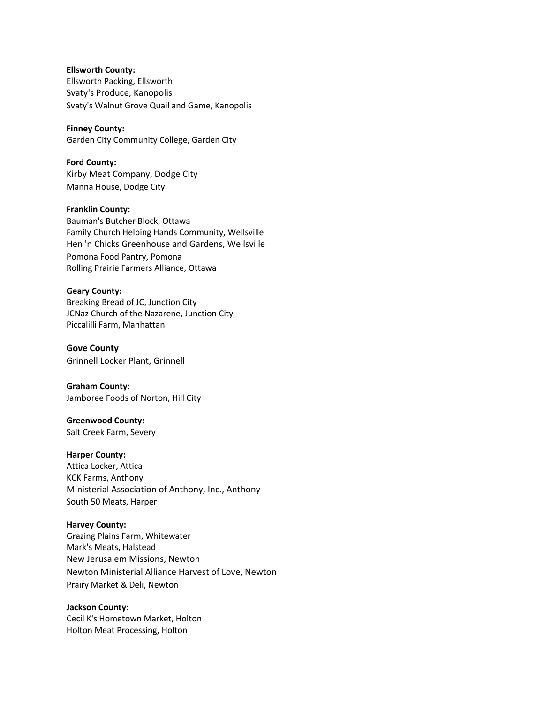**Ellsworth County:** Ellsworth Packing, Ellsworth Svaty's Produce, Kanopolis Svaty's Walnut Grove Quail and Game, Kanopolis

**Finney County:** Garden City Community College, Garden City

**Ford County:** Kirby Meat Company, Dodge City Manna House, Dodge City

# **Franklin County:** Bauman's Butcher Block, Ottawa Family Church Helping Hands Community, Wellsville Hen 'n Chicks Greenhouse and Gardens, Wellsville Pomona Food Pantry, Pomona Rolling Prairie Farmers Alliance, Ottawa

## **Geary County:** Breaking Bread of JC, Junction City JCNaz Church of the Nazarene, Junction City Piccalilli Farm, Manhattan

**Gove County**  Grinnell Locker Plant, Grinnell

**Graham County:** Jamboree Foods of Norton, Hill City

## **Greenwood County:** Salt Creek Farm, Severy

**Harper County:** Attica Locker, Attica

KCK Farms, Anthony Ministerial Association of Anthony, Inc., Anthony South 50 Meats, Harper

# **Harvey County:**

Grazing Plains Farm, Whitewater Mark's Meats, Halstead New Jerusalem Missions, Newton Newton Ministerial Alliance Harvest of Love, Newton Prairy Market & Deli, Newton

# **Jackson County:**

Cecil K's Hometown Market, Holton Holton Meat Processing, Holton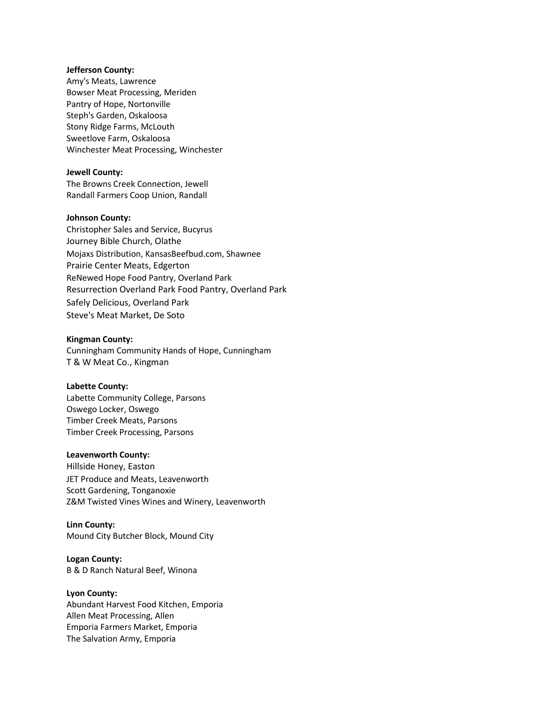#### **Jefferson County:**

Amy's Meats, Lawrence Bowser Meat Processing, Meriden Pantry of Hope, Nortonville Steph's Garden, Oskaloosa Stony Ridge Farms, McLouth Sweetlove Farm, Oskaloosa Winchester Meat Processing, Winchester

## **Jewell County:**

The Browns Creek Connection, Jewell Randall Farmers Coop Union, Randall

#### **Johnson County:**

Christopher Sales and Service, Bucyrus Journey Bible Church, Olathe Mojaxs Distribution, KansasBeefbud.com, Shawnee Prairie Center Meats, Edgerton ReNewed Hope Food Pantry, Overland Park Resurrection Overland Park Food Pantry, Overland Park Safely Delicious, Overland Park Steve's Meat Market, De Soto

## **Kingman County:**

Cunningham Community Hands of Hope, Cunningham T & W Meat Co., Kingman

#### **Labette County:**

Labette Community College, Parsons Oswego Locker, Oswego Timber Creek Meats, Parsons Timber Creek Processing, Parsons

## **Leavenworth County:**

Hillside Honey, Easton JET Produce and Meats, Leavenworth Scott Gardening, Tonganoxie Z&M Twisted Vines Wines and Winery, Leavenworth

#### **Linn County:**

Mound City Butcher Block, Mound City

#### **Logan County:**

B & D Ranch Natural Beef, Winona

## **Lyon County:**

Abundant Harvest Food Kitchen, Emporia Allen Meat Processing, Allen Emporia Farmers Market, Emporia The Salvation Army, Emporia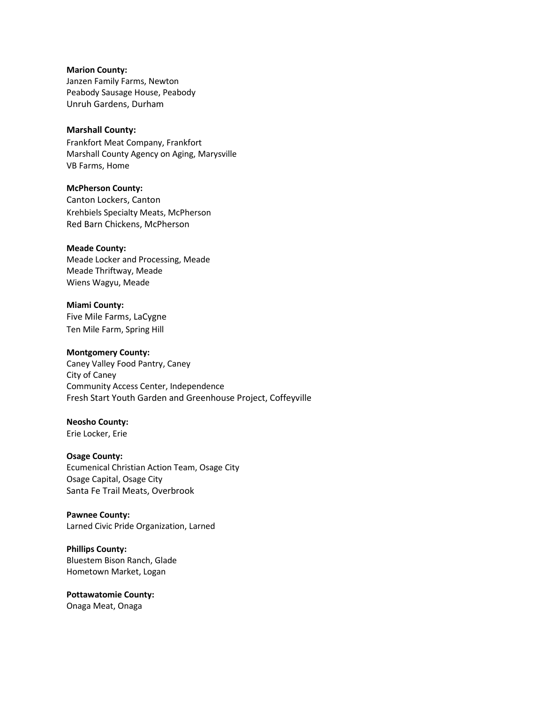# **Marion County:**

Janzen Family Farms, Newton Peabody Sausage House, Peabody Unruh Gardens, Durham

## **Marshall County:**

Frankfort Meat Company, Frankfort Marshall County Agency on Aging, Marysville VB Farms, Home

# **McPherson County:**

Canton Lockers, Canton Krehbiels Specialty Meats, McPherson Red Barn Chickens, McPherson

## **Meade County:**

Meade Locker and Processing, Meade Meade Thriftway, Meade Wiens Wagyu, Meade

# **Miami County:** Five Mile Farms, LaCygne Ten Mile Farm, Spring Hill

## **Montgomery County:**

Caney Valley Food Pantry, Caney City of Caney Community Access Center, Independence Fresh Start Youth Garden and Greenhouse Project, Coffeyville

# **Neosho County:**

Erie Locker, Erie

# **Osage County:**

Ecumenical Christian Action Team, Osage City Osage Capital, Osage City Santa Fe Trail Meats, Overbrook

# **Pawnee County:** Larned Civic Pride Organization, Larned

**Phillips County:** Bluestem Bison Ranch, Glade Hometown Market, Logan

# **Pottawatomie County:** Onaga Meat, Onaga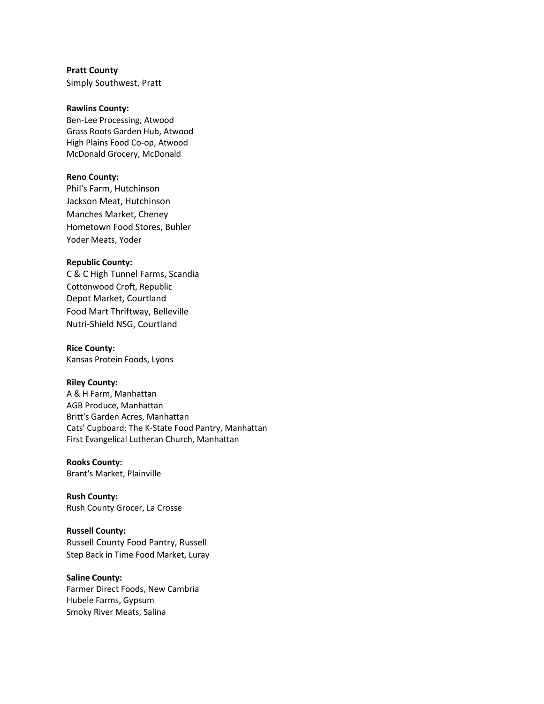**Pratt County** Simply Southwest, Pratt

## **Rawlins County:**

Ben-Lee Processing, Atwood Grass Roots Garden Hub, Atwood High Plains Food Co-op, Atwood McDonald Grocery, McDonald

## **Reno County:**

Phil's Farm, Hutchinson Jackson Meat, Hutchinson Manches Market, Cheney Hometown Food Stores, Buhler Yoder Meats, Yoder

#### **Republic County:**

C & C High Tunnel Farms, Scandia Cottonwood Croft, Republic Depot Market, Courtland Food Mart Thriftway, Belleville Nutri-Shield NSG, Courtland

**Rice County:** Kansas Protein Foods, Lyons

#### **Riley County:**

A & H Farm, Manhattan AGB Produce, Manhattan Britt's Garden Acres, Manhattan Cats' Cupboard: The K-State Food Pantry, Manhattan First Evangelical Lutheran Church, Manhattan

#### **Rooks County:**

Brant's Market, Plainville

**Rush County:** Rush County Grocer, La Crosse

**Russell County:** Russell County Food Pantry, Russell Step Back in Time Food Market, Luray

## **Saline County:**

Farmer Direct Foods, New Cambria Hubele Farms, Gypsum Smoky River Meats, Salina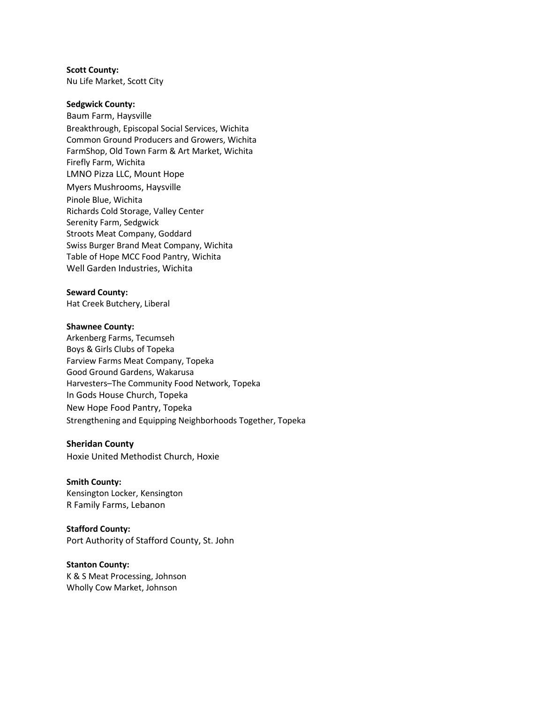## **Scott County:**

Nu Life Market, Scott City

## **Sedgwick County:**

Baum Farm, Haysville Breakthrough, Episcopal Social Services, Wichita Common Ground Producers and Growers, Wichita FarmShop, Old Town Farm & Art Market, Wichita Firefly Farm, Wichita LMNO Pizza LLC, Mount Hope Myers Mushrooms, Haysville Pinole Blue, Wichita Richards Cold Storage, Valley Center Serenity Farm, Sedgwick Stroots Meat Company, Goddard Swiss Burger Brand Meat Company, Wichita Table of Hope MCC Food Pantry, Wichita Well Garden Industries, Wichita

## **Seward County:**

Hat Creek Butchery, Liberal

#### **Shawnee County:**

Arkenberg Farms, Tecumseh Boys & Girls Clubs of Topeka Farview Farms Meat Company, Topeka Good Ground Gardens, Wakarusa Harvesters–The Community Food Network, Topeka In Gods House Church, Topeka New Hope Food Pantry, Topeka Strengthening and Equipping Neighborhoods Together, Topeka

#### **Sheridan County**

Hoxie United Methodist Church, Hoxie

## **Smith County:**

Kensington Locker, Kensington R Family Farms, Lebanon

# **Stafford County:**

Port Authority of Stafford County, St. John

## **Stanton County:** K & S Meat Processing, Johnson Wholly Cow Market, Johnson